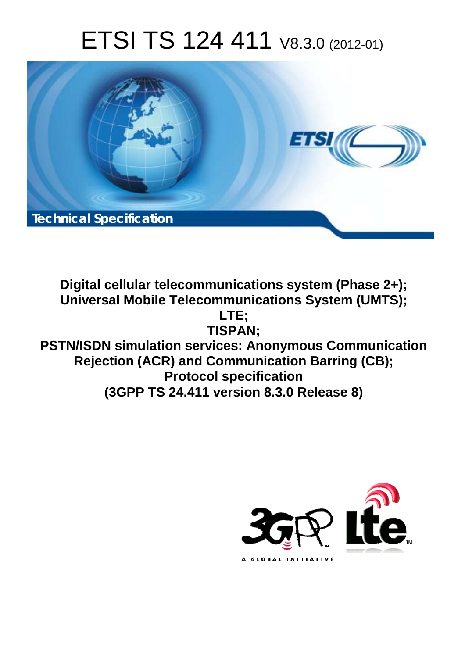# ETSI TS 124 411 V8.3.0 (2012-01)



**Digital cellular telecommunications system (Phase 2+); Universal Mobile Telecommunications System (UMTS); LTE; TISPAN; PSTN/ISDN simulation services: Anonymous Communication Rejection (ACR) and Communication Barring (CB); Protocol specification (3GPP TS 24.411 version 8.3.0 Release 8)** 

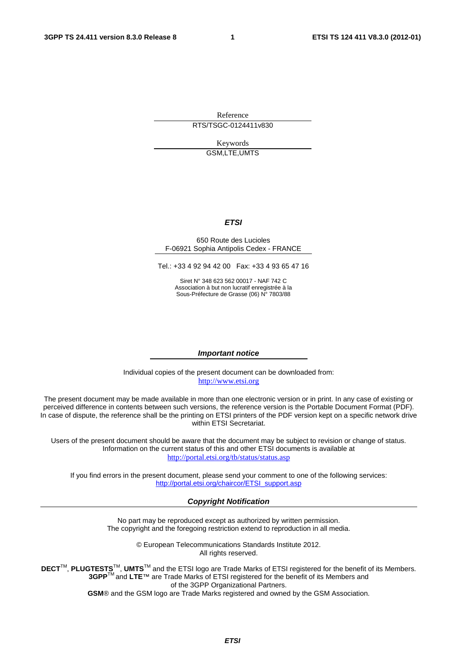Reference

RTS/TSGC-0124411v830

Keywords GSM,LTE,UMTS

#### *ETSI*

#### 650 Route des Lucioles F-06921 Sophia Antipolis Cedex - FRANCE

Tel.: +33 4 92 94 42 00 Fax: +33 4 93 65 47 16

Siret N° 348 623 562 00017 - NAF 742 C Association à but non lucratif enregistrée à la Sous-Préfecture de Grasse (06) N° 7803/88

#### *Important notice*

Individual copies of the present document can be downloaded from: [http://www.etsi.org](http://www.etsi.org/)

The present document may be made available in more than one electronic version or in print. In any case of existing or perceived difference in contents between such versions, the reference version is the Portable Document Format (PDF). In case of dispute, the reference shall be the printing on ETSI printers of the PDF version kept on a specific network drive within ETSI Secretariat.

Users of the present document should be aware that the document may be subject to revision or change of status. Information on the current status of this and other ETSI documents is available at <http://portal.etsi.org/tb/status/status.asp>

If you find errors in the present document, please send your comment to one of the following services: [http://portal.etsi.org/chaircor/ETSI\\_support.asp](http://portal.etsi.org/chaircor/ETSI_support.asp)

#### *Copyright Notification*

No part may be reproduced except as authorized by written permission. The copyright and the foregoing restriction extend to reproduction in all media.

> © European Telecommunications Standards Institute 2012. All rights reserved.

**DECT**TM, **PLUGTESTS**TM, **UMTS**TM and the ETSI logo are Trade Marks of ETSI registered for the benefit of its Members. **3GPP**TM and **LTE**™ are Trade Marks of ETSI registered for the benefit of its Members and of the 3GPP Organizational Partners.

**GSM**® and the GSM logo are Trade Marks registered and owned by the GSM Association.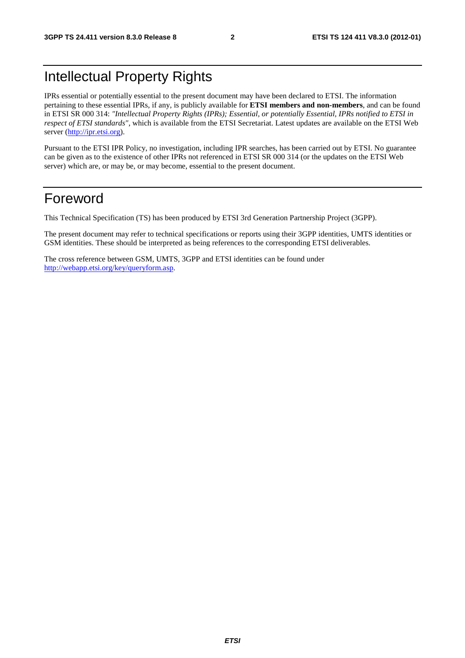# Intellectual Property Rights

IPRs essential or potentially essential to the present document may have been declared to ETSI. The information pertaining to these essential IPRs, if any, is publicly available for **ETSI members and non-members**, and can be found in ETSI SR 000 314: *"Intellectual Property Rights (IPRs); Essential, or potentially Essential, IPRs notified to ETSI in respect of ETSI standards"*, which is available from the ETSI Secretariat. Latest updates are available on the ETSI Web server [\(http://ipr.etsi.org](http://webapp.etsi.org/IPR/home.asp)).

Pursuant to the ETSI IPR Policy, no investigation, including IPR searches, has been carried out by ETSI. No guarantee can be given as to the existence of other IPRs not referenced in ETSI SR 000 314 (or the updates on the ETSI Web server) which are, or may be, or may become, essential to the present document.

### Foreword

This Technical Specification (TS) has been produced by ETSI 3rd Generation Partnership Project (3GPP).

The present document may refer to technical specifications or reports using their 3GPP identities, UMTS identities or GSM identities. These should be interpreted as being references to the corresponding ETSI deliverables.

The cross reference between GSM, UMTS, 3GPP and ETSI identities can be found under [http://webapp.etsi.org/key/queryform.asp.](http://webapp.etsi.org/key/queryform.asp)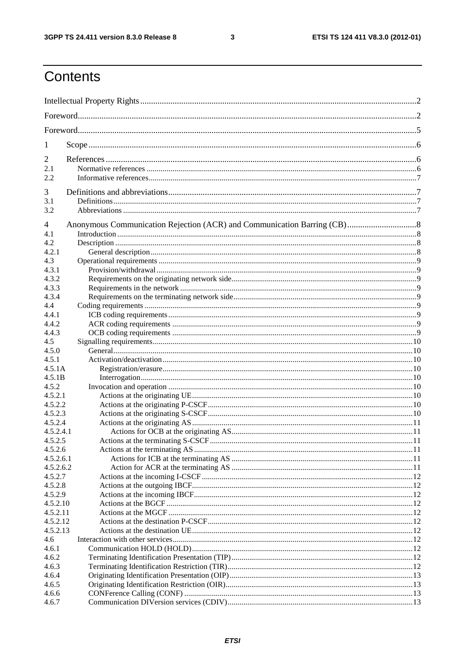$\mathbf{3}$ 

# Contents

| 1               |  |  |  |  |  |
|-----------------|--|--|--|--|--|
| 2               |  |  |  |  |  |
| 2.1             |  |  |  |  |  |
| 2.2             |  |  |  |  |  |
|                 |  |  |  |  |  |
| 3               |  |  |  |  |  |
| 3.1             |  |  |  |  |  |
| 3.2             |  |  |  |  |  |
| 4               |  |  |  |  |  |
| 4.1             |  |  |  |  |  |
| 4.2             |  |  |  |  |  |
| 4.2.1           |  |  |  |  |  |
| 4.3             |  |  |  |  |  |
| 4.3.1           |  |  |  |  |  |
| 4.3.2           |  |  |  |  |  |
| 4.3.3           |  |  |  |  |  |
| 4.3.4           |  |  |  |  |  |
| 4.4             |  |  |  |  |  |
| 4.4.1           |  |  |  |  |  |
| 4.4.2           |  |  |  |  |  |
| 4.4.3           |  |  |  |  |  |
| 4.5             |  |  |  |  |  |
| 4.5.0           |  |  |  |  |  |
| 4.5.1<br>4.5.1A |  |  |  |  |  |
| 4.5.1B          |  |  |  |  |  |
| 4.5.2           |  |  |  |  |  |
| 4.5.2.1         |  |  |  |  |  |
| 4.5.2.2         |  |  |  |  |  |
| 4.5.2.3         |  |  |  |  |  |
| 4.5.2.4         |  |  |  |  |  |
| 4.5.2.4.1       |  |  |  |  |  |
| 4.5.2.5         |  |  |  |  |  |
| 4.5.2.6         |  |  |  |  |  |
| 4.5.2.6.1       |  |  |  |  |  |
| 4.5.2.6.2       |  |  |  |  |  |
| 4.5.2.7         |  |  |  |  |  |
| 4.5.2.8         |  |  |  |  |  |
| 4.5.2.9         |  |  |  |  |  |
| 4.5.2.10        |  |  |  |  |  |
| 4.5.2.11        |  |  |  |  |  |
| 4.5.2.12        |  |  |  |  |  |
| 4.5.2.13        |  |  |  |  |  |
| 4.6             |  |  |  |  |  |
| 4.6.1           |  |  |  |  |  |
| 4.6.2           |  |  |  |  |  |
| 4.6.3           |  |  |  |  |  |
| 4.6.4           |  |  |  |  |  |
| 4.6.5           |  |  |  |  |  |
| 4.6.6           |  |  |  |  |  |
| 4.6.7           |  |  |  |  |  |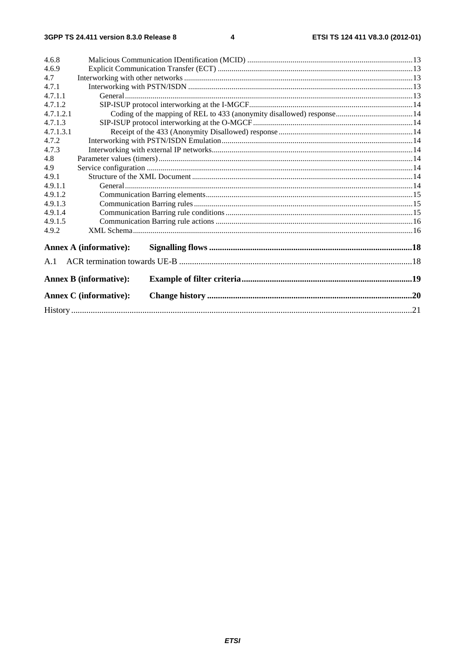#### $\overline{\mathbf{4}}$

| 4.6.8     |                               |  |  |  |  |  |
|-----------|-------------------------------|--|--|--|--|--|
| 4.6.9     |                               |  |  |  |  |  |
| 4.7       |                               |  |  |  |  |  |
| 4.7.1     |                               |  |  |  |  |  |
| 4.7.1.1   |                               |  |  |  |  |  |
| 4.7.1.2   |                               |  |  |  |  |  |
| 4.7.1.2.1 |                               |  |  |  |  |  |
| 4.7.1.3   |                               |  |  |  |  |  |
| 4.7.1.3.1 |                               |  |  |  |  |  |
| 4.7.2     |                               |  |  |  |  |  |
| 4.7.3     |                               |  |  |  |  |  |
| 4.8       |                               |  |  |  |  |  |
| 4.9       |                               |  |  |  |  |  |
| 4.9.1     |                               |  |  |  |  |  |
| 4.9.1.1   |                               |  |  |  |  |  |
| 4.9.1.2   |                               |  |  |  |  |  |
| 4.9.1.3   |                               |  |  |  |  |  |
| 4.9.1.4   |                               |  |  |  |  |  |
| 4.9.1.5   |                               |  |  |  |  |  |
| 4.9.2     |                               |  |  |  |  |  |
|           | <b>Annex A (informative):</b> |  |  |  |  |  |
|           |                               |  |  |  |  |  |
| A.1       |                               |  |  |  |  |  |
|           | <b>Annex B</b> (informative): |  |  |  |  |  |
|           | <b>Annex C</b> (informative): |  |  |  |  |  |
|           |                               |  |  |  |  |  |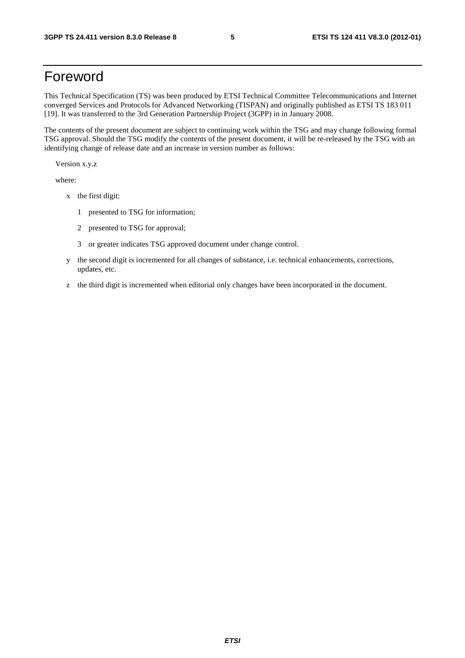# Foreword

This Technical Specification (TS) was been produced by ETSI Technical Committee Telecommunications and Internet converged Services and Protocols for Advanced Networking (TISPAN) and originally published as ETSI TS 183 011 [19]. It was transferred to the 3rd Generation Partnership Project (3GPP) in in January 2008.

The contents of the present document are subject to continuing work within the TSG and may change following formal TSG approval. Should the TSG modify the contents of the present document, it will be re-released by the TSG with an identifying change of release date and an increase in version number as follows:

Version x.y.z

where:

- x the first digit:
	- 1 presented to TSG for information;
	- 2 presented to TSG for approval;
	- 3 or greater indicates TSG approved document under change control.
- y the second digit is incremented for all changes of substance, i.e. technical enhancements, corrections, updates, etc.
- z the third digit is incremented when editorial only changes have been incorporated in the document.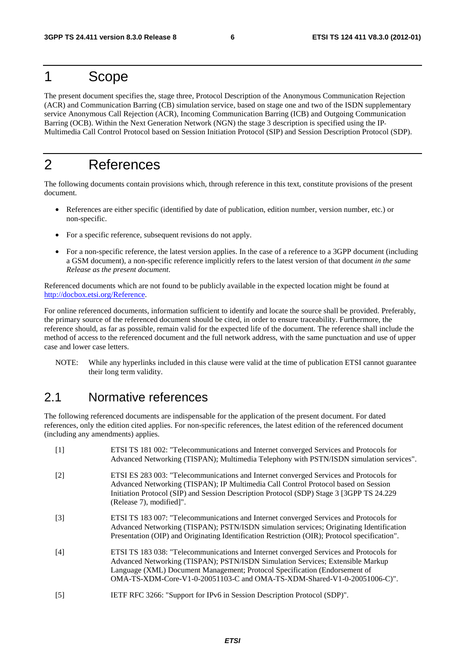### 1 Scope

The present document specifies the, stage three, Protocol Description of the Anonymous Communication Rejection (ACR) and Communication Barring (CB) simulation service, based on stage one and two of the ISDN supplementary service Anonymous Call Rejection (ACR), Incoming Communication Barring (ICB) and Outgoing Communication Barring (OCB). Within the Next Generation Network (NGN) the stage 3 description is specified using the IP Multimedia Call Control Protocol based on Session Initiation Protocol (SIP) and Session Description Protocol (SDP).

# 2 References

The following documents contain provisions which, through reference in this text, constitute provisions of the present document.

- References are either specific (identified by date of publication, edition number, version number, etc.) or non-specific.
- For a specific reference, subsequent revisions do not apply.
- For a non-specific reference, the latest version applies. In the case of a reference to a 3GPP document (including a GSM document), a non-specific reference implicitly refers to the latest version of that document *in the same Release as the present document*.

Referenced documents which are not found to be publicly available in the expected location might be found at http://docbox.etsi.org/Reference.

For online referenced documents, information sufficient to identify and locate the source shall be provided. Preferably, the primary source of the referenced document should be cited, in order to ensure traceability. Furthermore, the reference should, as far as possible, remain valid for the expected life of the document. The reference shall include the method of access to the referenced document and the full network address, with the same punctuation and use of upper case and lower case letters.

NOTE: While any hyperlinks included in this clause were valid at the time of publication ETSI cannot guarantee their long term validity.

### 2.1 Normative references

The following referenced documents are indispensable for the application of the present document. For dated references, only the edition cited applies. For non-specific references, the latest edition of the referenced document (including any amendments) applies.

| $[1]$             | ETSI TS 181 002: "Telecommunications and Internet converged Services and Protocols for<br>Advanced Networking (TISPAN); Multimedia Telephony with PSTN/ISDN simulation services".                                                                                                                                                  |
|-------------------|------------------------------------------------------------------------------------------------------------------------------------------------------------------------------------------------------------------------------------------------------------------------------------------------------------------------------------|
| $\lceil 2 \rceil$ | ETSI ES 283 003: "Telecommunications and Internet converged Services and Protocols for<br>Advanced Networking (TISPAN); IP Multimedia Call Control Protocol based on Session<br>Initiation Protocol (SIP) and Session Description Protocol (SDP) Stage 3 [3GPP TS 24.229<br>(Release 7), modified]".                               |
| $\lceil 3 \rceil$ | ETSI TS 183 007: "Telecommunications and Internet converged Services and Protocols for<br>Advanced Networking (TISPAN); PSTN/ISDN simulation services; Originating Identification<br>Presentation (OIP) and Originating Identification Restriction (OIR); Protocol specification".                                                 |
| [4]               | ETSI TS 183 038: "Telecommunications and Internet converged Services and Protocols for<br>Advanced Networking (TISPAN); PSTN/ISDN Simulation Services; Extensible Markup<br>Language (XML) Document Management; Protocol Specification (Endorsement of<br>OMA-TS-XDM-Core-V1-0-20051103-C and OMA-TS-XDM-Shared-V1-0-20051006-C)". |
| $\lceil 5 \rceil$ | IETF RFC 3266: "Support for IPv6 in Session Description Protocol (SDP)".                                                                                                                                                                                                                                                           |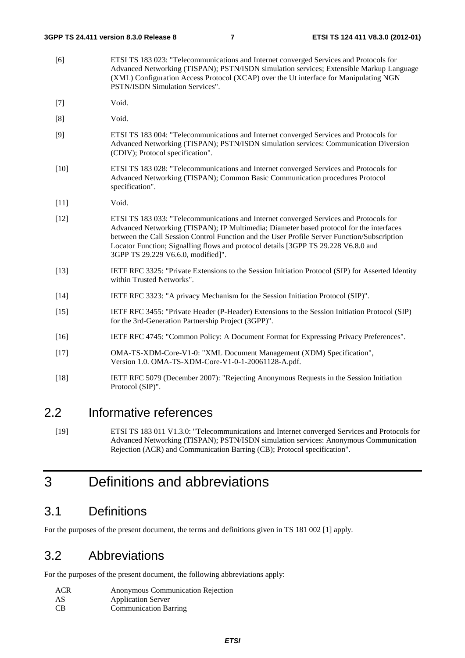- [6] ETSI TS 183 023: "Telecommunications and Internet converged Services and Protocols for Advanced Networking (TISPAN); PSTN/ISDN simulation services; Extensible Markup Language (XML) Configuration Access Protocol (XCAP) over the Ut interface for Manipulating NGN PSTN/ISDN Simulation Services".
- [7] Void.
- [8] Void.
- [9] ETSI TS 183 004: "Telecommunications and Internet converged Services and Protocols for Advanced Networking (TISPAN); PSTN/ISDN simulation services: Communication Diversion (CDIV); Protocol specification".
- [10] ETSI TS 183 028: "Telecommunications and Internet converged Services and Protocols for Advanced Networking (TISPAN); Common Basic Communication procedures Protocol specification".
- [11] **Void.**
- [12] ETSI TS 183 033: "Telecommunications and Internet converged Services and Protocols for Advanced Networking (TISPAN); IP Multimedia; Diameter based protocol for the interfaces between the Call Session Control Function and the User Profile Server Function/Subscription Locator Function; Signalling flows and protocol details [3GPP TS 29.228 V6.8.0 and 3GPP TS 29.229 V6.6.0, modified]".
- [13] IETF RFC 3325: "Private Extensions to the Session Initiation Protocol (SIP) for Asserted Identity within Trusted Networks".
- [14] IETF RFC 3323: "A privacy Mechanism for the Session Initiation Protocol (SIP)".
- [15] IETF RFC 3455: "Private Header (P-Header) Extensions to the Session Initiation Protocol (SIP) for the 3rd-Generation Partnership Project (3GPP)".
- [16] IETF RFC 4745: "Common Policy: A Document Format for Expressing Privacy Preferences".
- [17] OMA-TS-XDM-Core-V1-0: "XML Document Management (XDM) Specification", Version 1.0. OMA-TS-XDM-Core-V1-0-1-20061128-A.pdf.
- [18] IETF RFC 5079 (December 2007): "Rejecting Anonymous Requests in the Session Initiation Protocol (SIP)".

### 2.2 Informative references

[19] ETSI TS 183 011 V1.3.0: "Telecommunications and Internet converged Services and Protocols for Advanced Networking (TISPAN); PSTN/ISDN simulation services: Anonymous Communication Rejection (ACR) and Communication Barring (CB); Protocol specification".

# 3 Definitions and abbreviations

### 3.1 Definitions

For the purposes of the present document, the terms and definitions given in TS 181 002 [1] apply.

### 3.2 Abbreviations

For the purposes of the present document, the following abbreviations apply:

| ACR | <b>Anonymous Communication Rejection</b> |
|-----|------------------------------------------|
| AS  | <b>Application Server</b>                |
| CB  | <b>Communication Barring</b>             |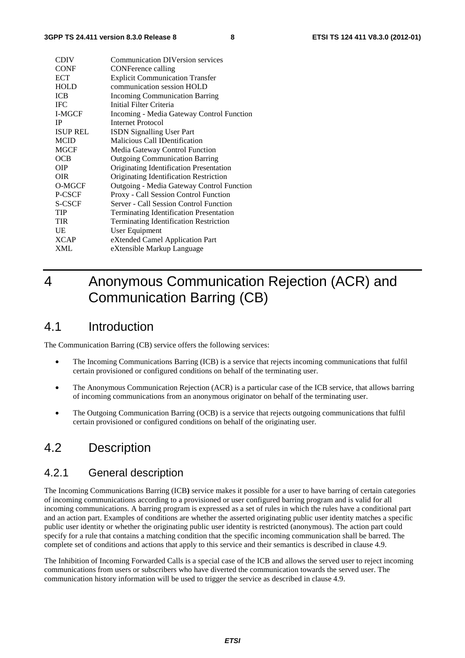| <b>CDIV</b>     | <b>Communication DIVersion services</b>        |
|-----------------|------------------------------------------------|
| <b>CONF</b>     | <b>CONFerence calling</b>                      |
| <b>ECT</b>      | <b>Explicit Communication Transfer</b>         |
| <b>HOLD</b>     | communication session HOLD                     |
| <b>ICB</b>      | <b>Incoming Communication Barring</b>          |
| <b>IFC</b>      | Initial Filter Criteria                        |
| I-MGCF          | Incoming - Media Gateway Control Function      |
| <b>IP</b>       | <b>Internet Protocol</b>                       |
| <b>ISUP REL</b> | <b>ISDN Signalling User Part</b>               |
| <b>MCID</b>     | Malicious Call IDentification                  |
| <b>MGCF</b>     | Media Gateway Control Function                 |
| OCB             | <b>Outgoing Communication Barring</b>          |
| <b>OIP</b>      | Originating Identification Presentation        |
| <b>OIR</b>      | Originating Identification Restriction         |
| O-MGCF          | Outgoing - Media Gateway Control Function      |
| P-CSCF          | Proxy - Call Session Control Function          |
| S-CSCF          | Server - Call Session Control Function         |
| <b>TIP</b>      | <b>Terminating Identification Presentation</b> |
| <b>TIR</b>      | <b>Terminating Identification Restriction</b>  |
| UE              | User Equipment                                 |
| <b>XCAP</b>     | eXtended Camel Application Part                |
| XML             | eXtensible Markup Language                     |

# 4 Anonymous Communication Rejection (ACR) and Communication Barring (CB)

### 4.1 Introduction

The Communication Barring (CB) service offers the following services:

- The Incoming Communications Barring (ICB) is a service that rejects incoming communications that fulfil certain provisioned or configured conditions on behalf of the terminating user.
- The Anonymous Communication Rejection (ACR) is a particular case of the ICB service, that allows barring of incoming communications from an anonymous originator on behalf of the terminating user.
- The Outgoing Communication Barring (OCB) is a service that rejects outgoing communications that fulfil certain provisioned or configured conditions on behalf of the originating user.

### 4.2 Description

### 4.2.1 General description

The Incoming Communications Barring (ICB**)** service makes it possible for a user to have barring of certain categories of incoming communications according to a provisioned or user configured barring program and is valid for all incoming communications. A barring program is expressed as a set of rules in which the rules have a conditional part and an action part. Examples of conditions are whether the asserted originating public user identity matches a specific public user identity or whether the originating public user identity is restricted (anonymous). The action part could specify for a rule that contains a matching condition that the specific incoming communication shall be barred. The complete set of conditions and actions that apply to this service and their semantics is described in clause 4.9.

The Inhibition of Incoming Forwarded Calls is a special case of the ICB and allows the served user to reject incoming communications from users or subscribers who have diverted the communication towards the served user. The communication history information will be used to trigger the service as described in clause 4.9.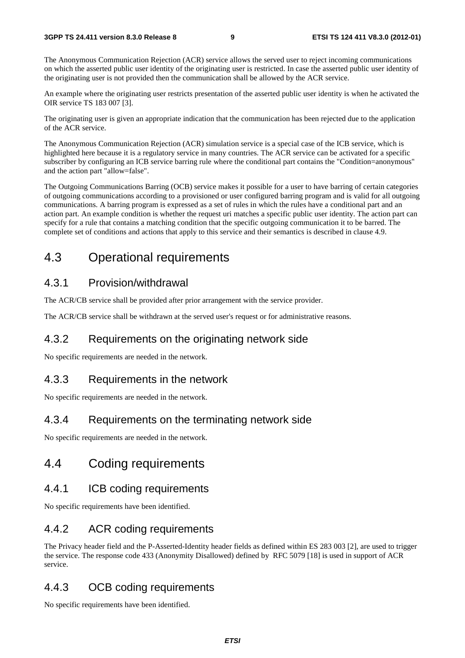The Anonymous Communication Rejection (ACR) service allows the served user to reject incoming communications on which the asserted public user identity of the originating user is restricted. In case the asserted public user identity of the originating user is not provided then the communication shall be allowed by the ACR service.

An example where the originating user restricts presentation of the asserted public user identity is when he activated the OIR service TS 183 007 [3].

The originating user is given an appropriate indication that the communication has been rejected due to the application of the ACR service.

The Anonymous Communication Rejection (ACR) simulation service is a special case of the ICB service, which is highlighted here because it is a regulatory service in many countries. The ACR service can be activated for a specific subscriber by configuring an ICB service barring rule where the conditional part contains the "Condition=anonymous" and the action part "allow=false".

The Outgoing Communications Barring (OCB) service makes it possible for a user to have barring of certain categories of outgoing communications according to a provisioned or user configured barring program and is valid for all outgoing communications. A barring program is expressed as a set of rules in which the rules have a conditional part and an action part. An example condition is whether the request uri matches a specific public user identity. The action part can specify for a rule that contains a matching condition that the specific outgoing communication it to be barred. The complete set of conditions and actions that apply to this service and their semantics is described in clause 4.9.

### 4.3 Operational requirements

### 4.3.1 Provision/withdrawal

The ACR/CB service shall be provided after prior arrangement with the service provider.

The ACR/CB service shall be withdrawn at the served user's request or for administrative reasons.

### 4.3.2 Requirements on the originating network side

No specific requirements are needed in the network.

#### 4.3.3 Requirements in the network

No specific requirements are needed in the network.

### 4.3.4 Requirements on the terminating network side

No specific requirements are needed in the network.

### 4.4 Coding requirements

#### 4.4.1 ICB coding requirements

No specific requirements have been identified.

### 4.4.2 ACR coding requirements

The Privacy header field and the P-Asserted-Identity header fields as defined within ES 283 003 [2], are used to trigger the service. The response code 433 (Anonymity Disallowed) defined by RFC 5079 [18] is used in support of ACR service.

### 4.4.3 OCB coding requirements

No specific requirements have been identified.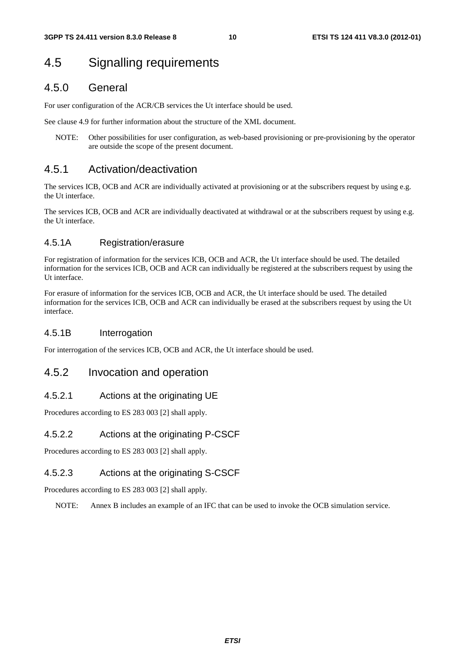# 4.5 Signalling requirements

### 4.5.0 General

For user configuration of the ACR/CB services the Ut interface should be used.

See clause 4.9 for further information about the structure of the XML document.

NOTE: Other possibilities for user configuration, as web-based provisioning or pre-provisioning by the operator are outside the scope of the present document.

### 4.5.1 Activation/deactivation

The services ICB, OCB and ACR are individually activated at provisioning or at the subscribers request by using e.g. the Ut interface.

The services ICB, OCB and ACR are individually deactivated at withdrawal or at the subscribers request by using e.g. the Ut interface.

#### 4.5.1A Registration/erasure

For registration of information for the services ICB, OCB and ACR, the Ut interface should be used. The detailed information for the services ICB, OCB and ACR can individually be registered at the subscribers request by using the Ut interface.

For erasure of information for the services ICB, OCB and ACR, the Ut interface should be used. The detailed information for the services ICB, OCB and ACR can individually be erased at the subscribers request by using the Ut interface.

#### 4.5.1B Interrogation

For interrogation of the services ICB, OCB and ACR, the Ut interface should be used.

#### 4.5.2 Invocation and operation

#### 4.5.2.1 Actions at the originating UE

Procedures according to ES 283 003 [2] shall apply.

#### 4.5.2.2 Actions at the originating P-CSCF

Procedures according to ES 283 003 [2] shall apply.

#### 4.5.2.3 Actions at the originating S-CSCF

Procedures according to ES 283 003 [2] shall apply.

NOTE: Annex B includes an example of an IFC that can be used to invoke the OCB simulation service.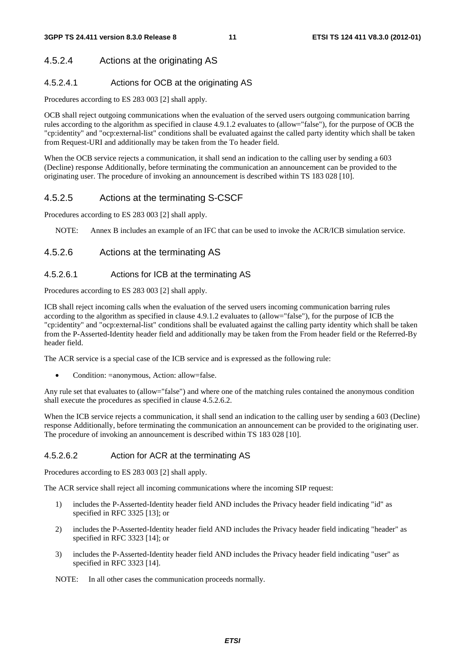### 4.5.2.4 Actions at the originating AS

#### 4.5.2.4.1 Actions for OCB at the originating AS

Procedures according to ES 283 003 [2] shall apply.

OCB shall reject outgoing communications when the evaluation of the served users outgoing communication barring rules according to the algorithm as specified in clause 4.9.1.2 evaluates to (allow="false"), for the purpose of OCB the "cp:identity" and "ocp:external-list" conditions shall be evaluated against the called party identity which shall be taken from Request-URI and additionally may be taken from the To header field.

When the OCB service rejects a communication, it shall send an indication to the calling user by sending a 603 (Decline) response Additionally, before terminating the communication an announcement can be provided to the originating user. The procedure of invoking an announcement is described within TS 183 028 [10].

#### 4.5.2.5 Actions at the terminating S-CSCF

Procedures according to ES 283 003 [2] shall apply.

NOTE: Annex B includes an example of an IFC that can be used to invoke the ACR/ICB simulation service.

#### 4.5.2.6 Actions at the terminating AS

#### 4.5.2.6.1 Actions for ICB at the terminating AS

Procedures according to ES 283 003 [2] shall apply.

ICB shall reject incoming calls when the evaluation of the served users incoming communication barring rules according to the algorithm as specified in clause 4.9.1.2 evaluates to (allow="false"), for the purpose of ICB the "cp:identity" and "ocp:external-list" conditions shall be evaluated against the calling party identity which shall be taken from the P-Asserted-Identity header field and additionally may be taken from the From header field or the Referred-By header field.

The ACR service is a special case of the ICB service and is expressed as the following rule:

• Condition: =anonymous, Action: allow=false.

Any rule set that evaluates to (allow="false") and where one of the matching rules contained the anonymous condition shall execute the procedures as specified in clause 4.5.2.6.2.

When the ICB service rejects a communication, it shall send an indication to the calling user by sending a 603 (Decline) response Additionally, before terminating the communication an announcement can be provided to the originating user. The procedure of invoking an announcement is described within TS 183 028 [10].

#### 4.5.2.6.2 Action for ACR at the terminating AS

Procedures according to ES 283 003 [2] shall apply.

The ACR service shall reject all incoming communications where the incoming SIP request:

- 1) includes the P-Asserted-Identity header field AND includes the Privacy header field indicating "id" as specified in RFC 3325 [13]; or
- 2) includes the P-Asserted-Identity header field AND includes the Privacy header field indicating "header" as specified in RFC 3323 [14]; or
- 3) includes the P-Asserted-Identity header field AND includes the Privacy header field indicating "user" as specified in RFC 3323 [14].

NOTE: In all other cases the communication proceeds normally.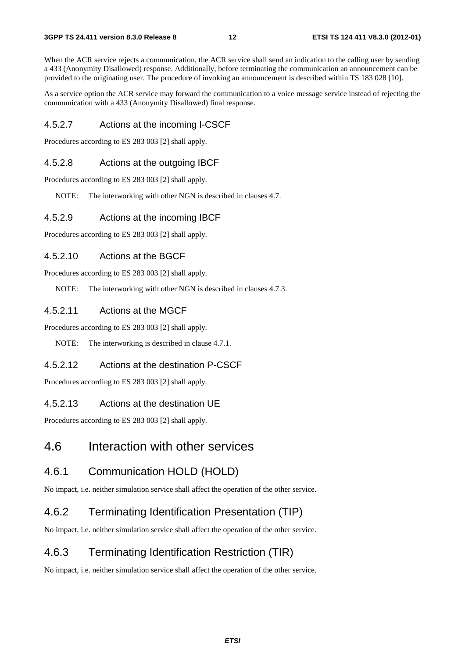When the ACR service rejects a communication, the ACR service shall send an indication to the calling user by sending a 433 (Anonymity Disallowed) response. Additionally, before terminating the communication an announcement can be provided to the originating user. The procedure of invoking an announcement is described within TS 183 028 [10].

As a service option the ACR service may forward the communication to a voice message service instead of rejecting the communication with a 433 (Anonymity Disallowed) final response.

#### 4.5.2.7 Actions at the incoming I-CSCF

Procedures according to ES 283 003 [2] shall apply.

#### 4.5.2.8 Actions at the outgoing IBCF

Procedures according to ES 283 003 [2] shall apply.

NOTE: The interworking with other NGN is described in clauses 4.7.

#### 4.5.2.9 Actions at the incoming IBCF

Procedures according to ES 283 003 [2] shall apply.

#### 4.5.2.10 Actions at the BGCF

Procedures according to ES 283 003 [2] shall apply.

NOTE: The interworking with other NGN is described in clauses 4.7.3.

#### 4.5.2.11 Actions at the MGCF

Procedures according to ES 283 003 [2] shall apply.

NOTE: The interworking is described in clause 4.7.1.

#### 4.5.2.12 Actions at the destination P-CSCF

Procedures according to ES 283 003 [2] shall apply.

#### 4.5.2.13 Actions at the destination UE

Procedures according to ES 283 003 [2] shall apply.

### 4.6 Interaction with other services

#### 4.6.1 Communication HOLD (HOLD)

No impact, i.e. neither simulation service shall affect the operation of the other service.

#### 4.6.2 Terminating Identification Presentation (TIP)

No impact, i.e. neither simulation service shall affect the operation of the other service.

### 4.6.3 Terminating Identification Restriction (TIR)

No impact, i.e. neither simulation service shall affect the operation of the other service.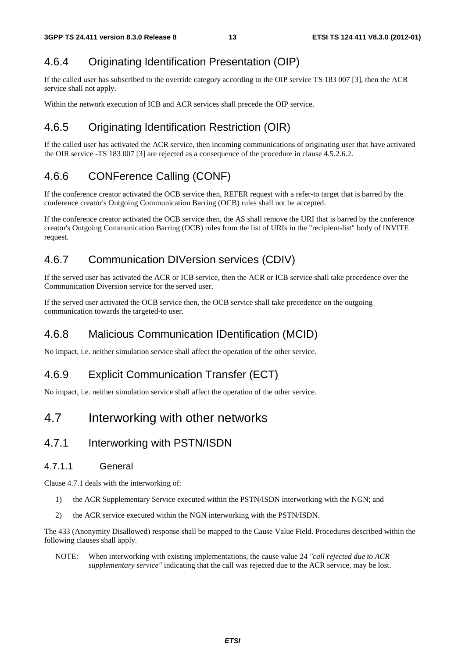### 4.6.4 Originating Identification Presentation (OIP)

If the called user has subscribed to the override category according to the OIP service TS 183 007 [3], then the ACR service shall not apply.

Within the network execution of ICB and ACR services shall precede the OIP service.

### 4.6.5 Originating Identification Restriction (OIR)

If the called user has activated the ACR service, then incoming communications of originating user that have activated the OIR service -TS 183 007 [3] are rejected as a consequence of the procedure in clause 4.5.2.6.2.

### 4.6.6 CONFerence Calling (CONF)

If the conference creator activated the OCB service then, REFER request with a refer-to target that is barred by the conference creator's Outgoing Communication Barring (OCB) rules shall not be accepted.

If the conference creator activated the OCB service then, the AS shall remove the URI that is barred by the conference creator's Outgoing Communication Barring (OCB) rules from the list of URIs in the "recipient-list" body of INVITE request.

### 4.6.7 Communication DIVersion services (CDIV)

If the served user has activated the ACR or ICB service, then the ACR or ICB service shall take precedence over the Communication Diversion service for the served user.

If the served user activated the OCB service then, the OCB service shall take precedence on the outgoing communication towards the targeted-to user.

### 4.6.8 Malicious Communication IDentification (MCID)

No impact, i.e. neither simulation service shall affect the operation of the other service.

### 4.6.9 Explicit Communication Transfer (ECT)

No impact, i.e. neither simulation service shall affect the operation of the other service.

### 4.7 Interworking with other networks

### 4.7.1 Interworking with PSTN/ISDN

#### 4.7.1.1 General

Clause 4.7.1 deals with the interworking of:

- 1) the ACR Supplementary Service executed within the PSTN/ISDN interworking with the NGN; and
- 2) the ACR service executed within the NGN interworking with the PSTN/ISDN.

The 433 (Anonymity Disallowed) response shall be mapped to the Cause Value Field. Procedures described within the following clauses shall apply.

NOTE: When interworking with existing implementations, the cause value 24 *"call rejected due to ACR supplementary service"* indicating that the call was rejected due to the ACR service, may be lost.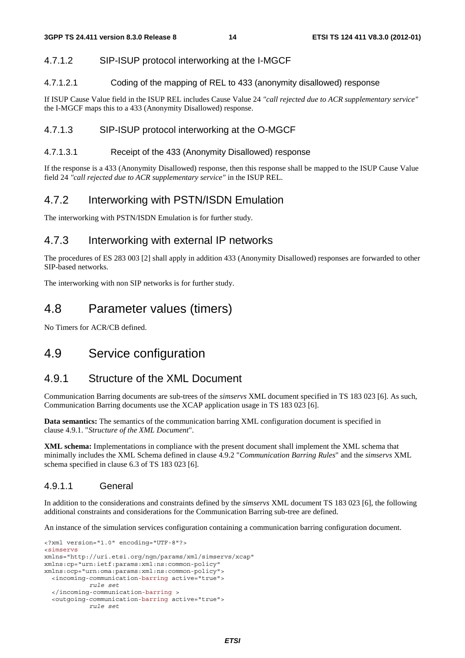#### 4.7.1.2 SIP-ISUP protocol interworking at the I-MGCF

#### 4.7.1.2.1 Coding of the mapping of REL to 433 (anonymity disallowed) response

If ISUP Cause Value field in the ISUP REL includes Cause Value 24 *"call rejected due to ACR supplementary service"* the I-MGCF maps this to a 433 (Anonymity Disallowed) response.

#### 4.7.1.3 SIP-ISUP protocol interworking at the O-MGCF

#### 4.7.1.3.1 Receipt of the 433 (Anonymity Disallowed) response

If the response is a 433 (Anonymity Disallowed) response, then this response shall be mapped to the ISUP Cause Value field 24 *"call rejected due to ACR supplementary service"* in the ISUP REL.

#### 4.7.2 Interworking with PSTN/ISDN Emulation

The interworking with PSTN/ISDN Emulation is for further study.

#### 4.7.3 Interworking with external IP networks

The procedures of ES 283 003 [2] shall apply in addition 433 (Anonymity Disallowed) responses are forwarded to other SIP-based networks.

The interworking with non SIP networks is for further study.

### 4.8 Parameter values (timers)

No Timers for ACR/CB defined.

### 4.9 Service configuration

#### 4.9.1 Structure of the XML Document

Communication Barring documents are sub-trees of the *simservs* XML document specified in TS 183 023 [6]. As such, Communication Barring documents use the XCAP application usage in TS 183 023 [6].

**Data semantics:** The semantics of the communication barring XML configuration document is specified in clause 4.9.1. "*Structure of the XML Document*".

**XML schema:** Implementations in compliance with the present document shall implement the XML schema that minimally includes the XML Schema defined in clause 4.9.2 "*Communication Barring Rules*" and the *simservs* XML schema specified in clause 6.3 of TS 183 023 [6].

#### 4.9.1.1 General

In addition to the considerations and constraints defined by the *simservs* XML document TS 183 023 [6], the following additional constraints and considerations for the Communication Barring sub-tree are defined.

An instance of the simulation services configuration containing a communication barring configuration document.

```
<?xml version="1.0" encoding="UTF-8"?> 
<simservs 
xmlns="http://uri.etsi.org/ngn/params/xml/simservs/xcap" 
xmlns:cp="urn:ietf:params:xml:ns:common-policy" 
xmlns:ocp="urn:oma:params:xml:ns:common-policy"> 
   <incoming-communication-barring active="true"> 
             rule set 
   </incoming-communication-barring > 
   <outgoing-communication-barring active="true"> 
             rule set
```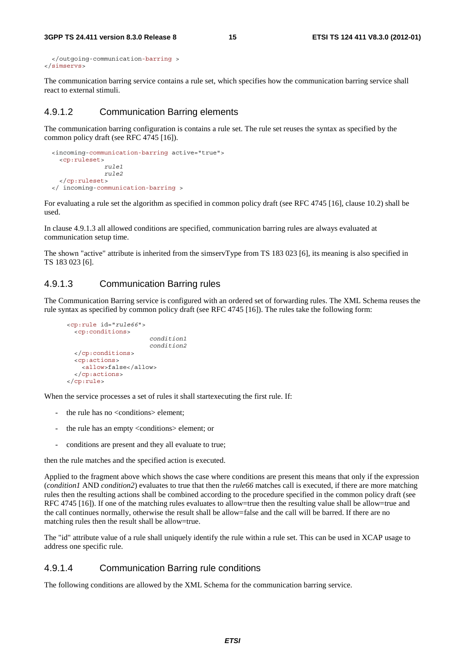```
 </outgoing-communication-barring > 
</simservs>
```
The communication barring service contains a rule set, which specifies how the communication barring service shall react to external stimuli.

#### 4.9.1.2 Communication Barring elements

The communication barring configuration is contains a rule set. The rule set reuses the syntax as specified by the common policy draft (see RFC 4745 [16]).

```
 <incoming-communication-barring active="true"> 
   <cp:ruleset> 
                rule1 
                rule2 
   </cp:ruleset> 
 </ incoming-communication-barring >
```
For evaluating a rule set the algorithm as specified in common policy draft (see RFC 4745 [16], clause 10.2) shall be used.

In clause 4.9.1.3 all allowed conditions are specified, communication barring rules are always evaluated at communication setup time.

The shown "active" attribute is inherited from the simservType from TS 183 023 [6], its meaning is also specified in TS 183 023 [6].

#### 4.9.1.3 Communication Barring rules

The Communication Barring service is configured with an ordered set of forwarding rules. The XML Schema reuses the rule syntax as specified by common policy draft (see RFC 4745 [16]). The rules take the following form:

```
 <cp:rule id="rule66"> 
   <cp:conditions> 
                           condition1 
                           condition2 
   </cp:conditions> 
   <cp:actions> 
     <allow>false</allow> 
   </cp:actions> 
 </cp:rule>
```
When the service processes a set of rules it shall startexecuting the first rule. If:

- the rule has no <conditions> element;
- the rule has an empty <conditions> element; or
- conditions are present and they all evaluate to true;

then the rule matches and the specified action is executed.

Applied to the fragment above which shows the case where conditions are present this means that only if the expression (*condition1* AND *condition2*) evaluates to true that then the *rule66* matches call is executed, if there are more matching rules then the resulting actions shall be combined according to the procedure specified in the common policy draft (see RFC 4745 [16]). If one of the matching rules evaluates to allow=true then the resulting value shall be allow=true and the call continues normally, otherwise the result shall be allow=false and the call will be barred. If there are no matching rules then the result shall be allow=true.

The "id" attribute value of a rule shall uniquely identify the rule within a rule set. This can be used in XCAP usage to address one specific rule.

#### 4.9.1.4 Communication Barring rule conditions

The following conditions are allowed by the XML Schema for the communication barring service.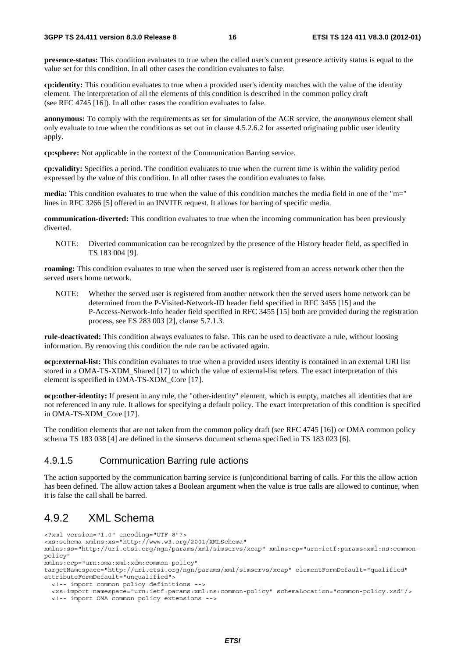**presence-status:** This condition evaluates to true when the called user's current presence activity status is equal to the value set for this condition. In all other cases the condition evaluates to false.

**cp:identity:** This condition evaluates to true when a provided user's identity matches with the value of the identity element. The interpretation of all the elements of this condition is described in the common policy draft (see RFC 4745 [16]). In all other cases the condition evaluates to false.

**anonymous:** To comply with the requirements as set for simulation of the ACR service, the *anonymous* element shall only evaluate to true when the conditions as set out in clause 4.5.2.6.2 for asserted originating public user identity apply.

**cp:sphere:** Not applicable in the context of the Communication Barring service.

**cp:validity:** Specifies a period. The condition evaluates to true when the current time is within the validity period expressed by the value of this condition. In all other cases the condition evaluates to false.

**media:** This condition evaluates to true when the value of this condition matches the media field in one of the "m=" lines in RFC 3266 [5] offered in an INVITE request. It allows for barring of specific media.

**communication-diverted:** This condition evaluates to true when the incoming communication has been previously diverted.

NOTE: Diverted communication can be recognized by the presence of the History header field, as specified in TS 183 004 [9].

**roaming:** This condition evaluates to true when the served user is registered from an access network other then the served users home network.

NOTE: Whether the served user is registered from another network then the served users home network can be determined from the P-Visited-Network-ID header field specified in RFC 3455 [15] and the P-Access-Network-Info header field specified in RFC 3455 [15] both are provided during the registration process, see ES 283 003 [2], clause 5.7.1.3.

**rule-deactivated:** This condition always evaluates to false. This can be used to deactivate a rule, without loosing information. By removing this condition the rule can be activated again.

**ocp:external-list:** This condition evaluates to true when a provided users identity is contained in an external URI list stored in a OMA-TS-XDM\_Shared [17] to which the value of external-list refers. The exact interpretation of this element is specified in OMA-TS-XDM\_Core [17].

**ocp:other-identity:** If present in any rule, the "other-identity" element, which is empty, matches all identities that are not referenced in any rule. It allows for specifying a default policy. The exact interpretation of this condition is specified in OMA-TS-XDM\_Core [17].

The condition elements that are not taken from the common policy draft (see RFC 4745 [16]) or OMA common policy schema TS 183 038 [4] are defined in the simservs document schema specified in TS 183 023 [6].

#### 4.9.1.5 Communication Barring rule actions

The action supported by the communication barring service is (un)conditional barring of calls. For this the allow action has been defined. The allow action takes a Boolean argument when the value is true calls are allowed to continue, when it is false the call shall be barred.

### 4.9.2 XML Schema

<?xml version="1.0" encoding="UTF-8"?> <xs:schema xmlns:xs="http://www.w3.org/2001/XMLSchema" xmlns:ss="http://uri.etsi.org/ngn/params/xml/simservs/xcap" xmlns:cp="urn:ietf:params:xml:ns:commonpolicy" xmlns:ocp="urn:oma:xml:xdm:common-policy" targetNamespace="http://uri.etsi.org/ngn/params/xml/simservs/xcap" elementFormDefault="qualified" attributeFormDefault="unqualified"> <!-- import common policy definitions --> <xs:import namespace="urn:ietf:params:xml:ns:common-policy" schemaLocation="common-policy.xsd"/>

<!-- import OMA common policy extensions -->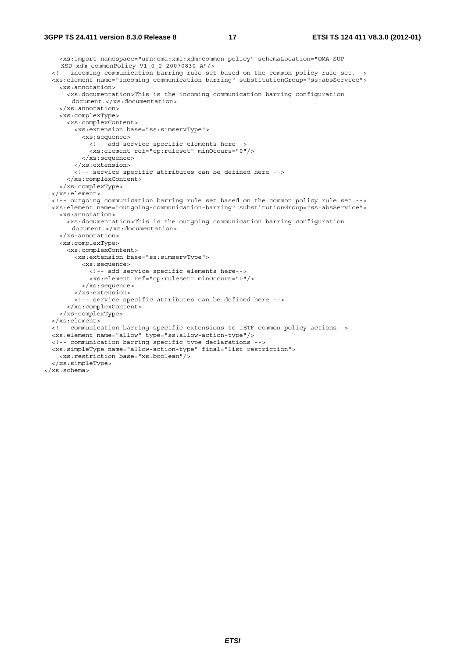```
 <xs:import namespace="urn:oma:xml:xdm:common-policy" schemaLocation="OMA-SUP-
    XSD_xdm_commonPolicy-V1_0_2-20070830-A"/> 
  <!-- incoming communication barring rule set based on the common policy rule set.--> 
  <xs:element name="incoming-communication-barring" substitutionGroup="ss:absService"> 
    <xs:annotation> 
      <xs:documentation>This is the incoming communication barring configuration 
       document.</xs:documentation> 
    </xs:annotation> 
    <xs:complexType> 
      <xs:complexContent> 
         <xs:extension base="ss:simservType"> 
           <xs:sequence> 
             <!-- add service specific elements here--> 
             <xs:element ref="cp:ruleset" minOccurs="0"/> 
           </xs:sequence> 
         </xs:extension> 
         <!-- service specific attributes can be defined here --> 
       </xs:complexContent> 
     </xs:complexType> 
  </xs:element> 
  <!-- outgoing communication barring rule set based on the common policy rule set.--> 
  <xs:element name="outgoing-communication-barring" substitutionGroup="ss:absService"> 
    <xs:annotation> 
       <xs:documentation>This is the outgoing communication barring configuration 
       document.</xs:documentation> 
    </xs:annotation> 
    <xs:complexType> 
      <xs:complexContent> 
         <xs:extension base="ss:simservType"> 
           <xs:sequence> 
             <!-- add service specific elements here--> 
             <xs:element ref="cp:ruleset" minOccurs="0"/> 
           </xs:sequence> 
         </xs:extension> 
         <!-- service specific attributes can be defined here --> 
       </xs:complexContent> 
    </xs:complexType> 
  </xs:element> 
  <!-- communication barring specific extensions to IETF common policy actions--> 
  <xs:element name="allow" type="ss:allow-action-type"/> 
  <!-- communication barring specific type declarations --> 
  <xs:simpleType name="allow-action-type" final="list restriction"> 
    <xs:restriction base="xs:boolean"/> 
  </xs:simpleType> 
</xs:schema>
```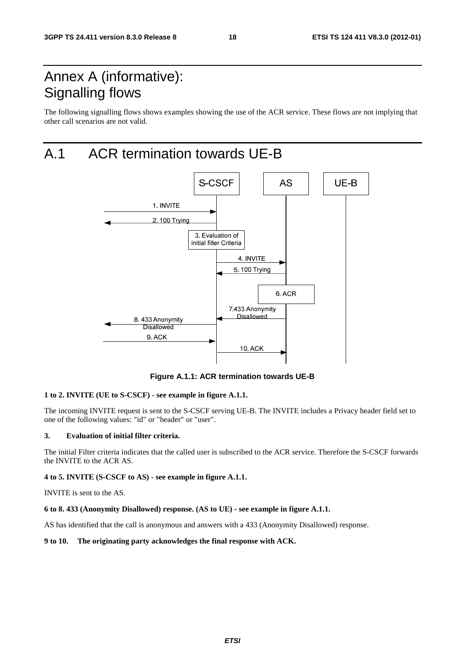# Annex A (informative): Signalling flows

The following signalling flows shows examples showing the use of the ACR service. These flows are not implying that other call scenarios are not valid.

# A.1 ACR termination towards UE-B



**Figure A.1.1: ACR termination towards UE-B** 

#### **1 to 2. INVITE (UE to S-CSCF) - see example in figure A.1.1.**

The incoming INVITE request is sent to the S-CSCF serving UE-B. The INVITE includes a Privacy header field set to one of the following values: "id" or "header" or "user".

#### **3. Evaluation of initial filter criteria.**

The initial Filter criteria indicates that the called user is subscribed to the ACR service. Therefore the S-CSCF forwards the INVITE to the ACR AS.

#### **4 to 5. INVITE (S-CSCF to AS) - see example in figure A.1.1.**

INVITE is sent to the AS.

#### **6 to 8. 433 (Anonymity Disallowed) response. (AS to UE) - see example in figure A.1.1.**

AS has identified that the call is anonymous and answers with a 433 (Anonymity Disallowed) response.

#### **9 to 10. The originating party acknowledges the final response with ACK.**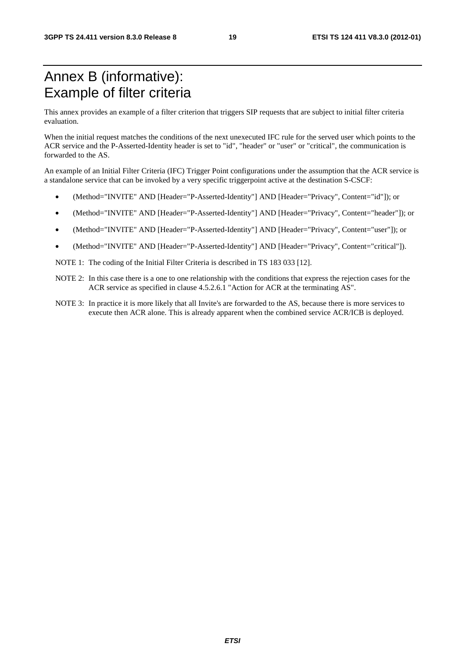# Annex B (informative): Example of filter criteria

This annex provides an example of a filter criterion that triggers SIP requests that are subject to initial filter criteria evaluation.

When the initial request matches the conditions of the next unexecuted IFC rule for the served user which points to the ACR service and the P-Asserted-Identity header is set to "id", "header" or "user" or "critical", the communication is forwarded to the AS.

An example of an Initial Filter Criteria (IFC) Trigger Point configurations under the assumption that the ACR service is a standalone service that can be invoked by a very specific triggerpoint active at the destination S-CSCF:

- (Method="INVITE" AND [Header="P-Asserted-Identity"] AND [Header="Privacy", Content="id"]); or
- (Method="INVITE" AND [Header="P-Asserted-Identity"] AND [Header="Privacy", Content="header"]); or
- (Method="INVITE" AND [Header="P-Asserted-Identity"] AND [Header="Privacy", Content="user"]); or
- (Method="INVITE" AND [Header="P-Asserted-Identity"] AND [Header="Privacy", Content="critical"]).

NOTE 1: The coding of the Initial Filter Criteria is described in TS 183 033 [12].

- NOTE 2: In this case there is a one to one relationship with the conditions that express the rejection cases for the ACR service as specified in clause 4.5.2.6.1 "Action for ACR at the terminating AS".
- NOTE 3: In practice it is more likely that all Invite's are forwarded to the AS, because there is more services to execute then ACR alone. This is already apparent when the combined service ACR/ICB is deployed.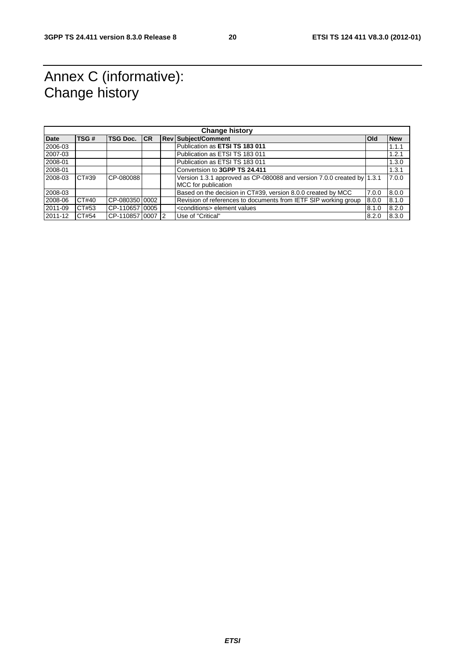# Annex C (informative): Change history

| <b>Change history</b> |       |                     |  |  |                                                                                               |            |            |
|-----------------------|-------|---------------------|--|--|-----------------------------------------------------------------------------------------------|------------|------------|
| <b>Date</b>           | TSG#  | <b>TSG Doc. ICR</b> |  |  | <b>Rev Subject/Comment</b>                                                                    | <b>Old</b> | <b>New</b> |
| 2006-03               |       |                     |  |  | Publication as ETSI TS 183 011                                                                |            | 1.1.1      |
| 2007-03               |       |                     |  |  | Publication as ETSI TS 183 011                                                                |            | 1.2.1      |
| 2008-01               |       |                     |  |  | Publication as ETSI TS 183 011                                                                |            | 1.3.0      |
| 2008-01               |       |                     |  |  | Convertsion to 3GPP TS 24.411                                                                 |            | 1.3.1      |
| 2008-03               | CT#39 | CP-080088           |  |  | Version 1.3.1 approved as CP-080088 and version 7.0.0 created by 1.3.1<br>MCC for publication |            | 7.0.0      |
| 2008-03               |       |                     |  |  | Based on the decision in CT#39, version 8.0.0 created by MCC                                  | 7.0.0      | 8.0.0      |
| 2008-06               | CT#40 | CP-080350 0002      |  |  | Revision of references to documents from IETF SIP working group                               | 8.0.0      | 8.1.0      |
| 2011-09               | CT#53 | CP-11065710005      |  |  | <conditions> element values</conditions>                                                      | 8.1.0      | 8.2.0      |
| 2011-12               | CT#54 | CP-1108571000712    |  |  | Use of "Critical"                                                                             | 8.2.0      | 8.3.0      |